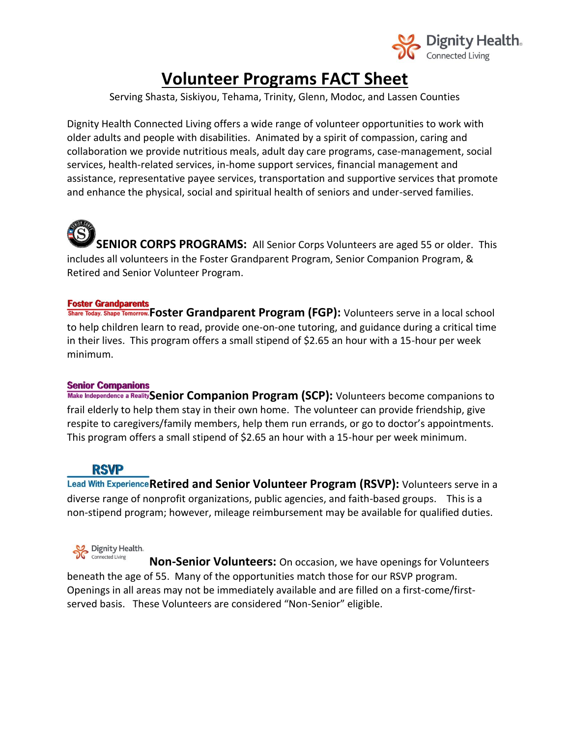

# **Volunteer Programs FACT Sheet**

Serving Shasta, Siskiyou, Tehama, Trinity, Glenn, Modoc, and Lassen Counties

Dignity Health Connected Living offers a wide range of volunteer opportunities to work with older adults and people with disabilities. Animated by a spirit of compassion, caring and collaboration we provide nutritious meals, adult day care programs, case-management, social services, health-related services, in-home support services, financial management and assistance, representative payee services, transportation and supportive services that promote and enhance the physical, social and spiritual health of seniors and under-served families.

**SENIOR CORPS PROGRAMS:** All Senior Corps Volunteers are aged 55 or older. This includes all volunteers in the Foster Grandparent Program, Senior Companion Program, & Retired and Senior Volunteer Program.

**Foster Grandparents**<br>Share Today. Shape Tomorrow: **Foster Grandparent Program (FGP):** Volunteers serve in a local school to help children learn to read, provide one-on-one tutoring, and guidance during a critical time in their lives. This program offers a small stipend of \$2.65 an hour with a 15-hour per week minimum.

## **Senior Companions**

**Make Independence a Reality Senior Companion Program (SCP):** Volunteers become companions to frail elderly to help them stay in their own home. The volunteer can provide friendship, give respite to caregivers/family members, help them run errands, or go to doctor's appointments. This program offers a small stipend of \$2.65 an hour with a 15-hour per week minimum.

## **RSVP**

Lead With Experience Retired and Senior Volunteer Program (RSVP): Volunteers serve in a diverse range of nonprofit organizations, public agencies, and faith-based groups. This is a non-stipend program; however, mileage reimbursement may be available for qualified duties.

### Dignity Health. Connected Living

**Non-Senior Volunteers:** On occasion, we have openings for Volunteers beneath the age of 55. Many of the opportunities match those for our RSVP program. Openings in all areas may not be immediately available and are filled on a first-come/firstserved basis. These Volunteers are considered "Non-Senior" eligible.